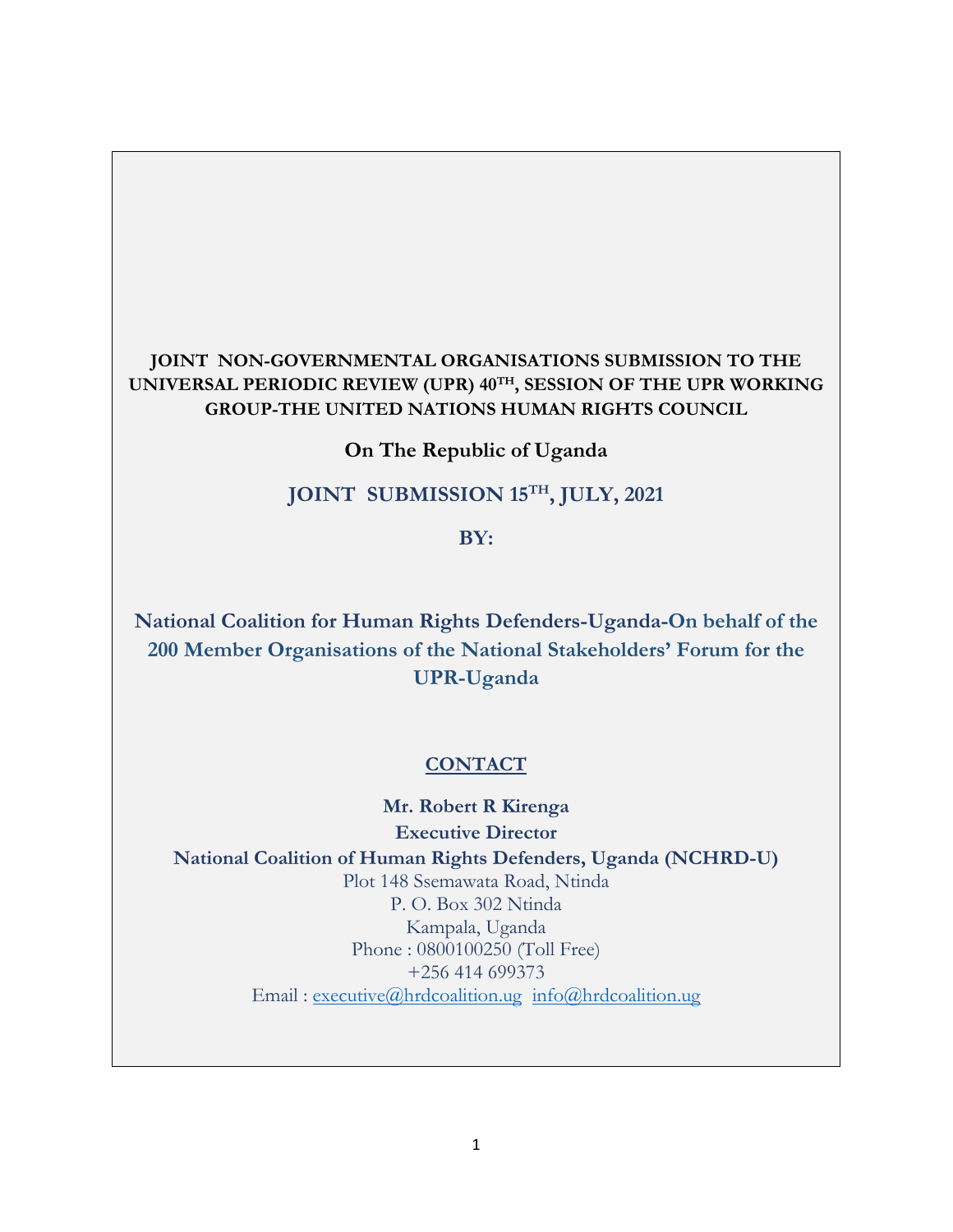## **JOINT NON-GOVERNMENTAL ORGANISATIONS SUBMISSION TO THE UNIVERSAL PERIODIC REVIEW (UPR) <sup>40</sup>TH , SESSION OF THE UPR WORKING GROUP-THE UNITED NATIONS HUMAN RIGHTS COUNCIL**

**On The Republic of Uganda**

## **JOINT SUBMISSION <sup>15</sup>TH , JULY, 2021**

**BY:**

**National Coalition for Human Rights Defenders-Uganda-On behalf of the 200 Member Organisations of the National Stakeholders' Forum for the UPR-Uganda**

### **CONTACT**

**Mr. Robert R Kirenga Executive Director National Coalition of Human Rights Defenders, Uganda (NCHRD-U)** Plot 148 Ssemawata Road, Ntinda P. O. Box 302 Ntinda Kampala, Uganda Phone : 0800100250 (Toll Free) +256 414 699373 Email : [executive@hrdcoalition.ug](mailto:executive@hrdcoalition.ug) [info@hrdcoalition.ug](mailto:info@hrdcoalition.ug)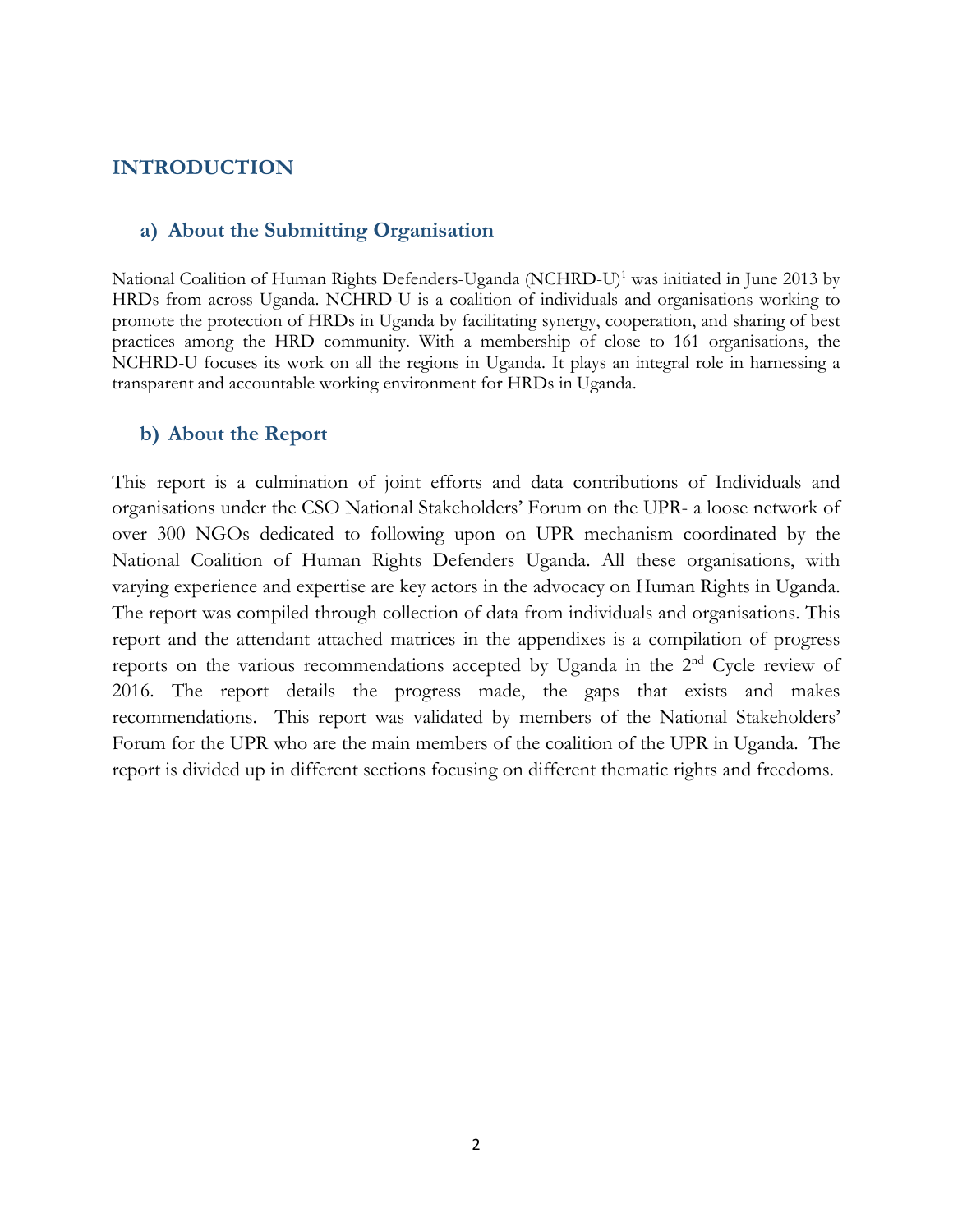### **INTRODUCTION**

#### **a) About the Submitting Organisation**

National Coalition of Human Rights Defenders-Uganda (NCHRD-U) 1 was initiated in June 2013 by HRDs from across Uganda. NCHRD-U is <sup>a</sup> coalition of individuals and organisations working to promote the protection of HRDs in Uganda by facilitating synergy, cooperation, and sharing of best practices among the HRD community. With <sup>a</sup> membership of close to 161 organisations, the NCHRD-U focuses its work on all the regions in Uganda. It plays an integral role in harnessing <sup>a</sup> transparent and accountable working environment for HRDs in Uganda.

#### **b) About the Report**

This report is <sup>a</sup> culmination of joint efforts and data contributions of Individuals and organisations under the CSO National Stakeholders' Forum on the UPR- <sup>a</sup> loose network of over 300 NGOs dedicated to following upon on UPR mechanism coordinated by the National Coalition of Human Rights Defenders Uganda. All these organisations, with varying experience and expertise are key actors in the advocacy on Human Rights in Uganda. The report was compiled through collection of data from individuals and organisations. This report and the attendant attached matrices in the appendixes is <sup>a</sup> compilation of progress reports on the various recommendations accepted by Uganda in the 2<sup>nd</sup> Cycle review of 2016. The report details the progress made, the gaps that exists and makes recommendations. This report was validated by members of the National Stakeholders' Forum for the UPR who are the main members of the coalition of the UPR in Uganda. The report is divided up in different sections focusing on different thematic rights and freedoms.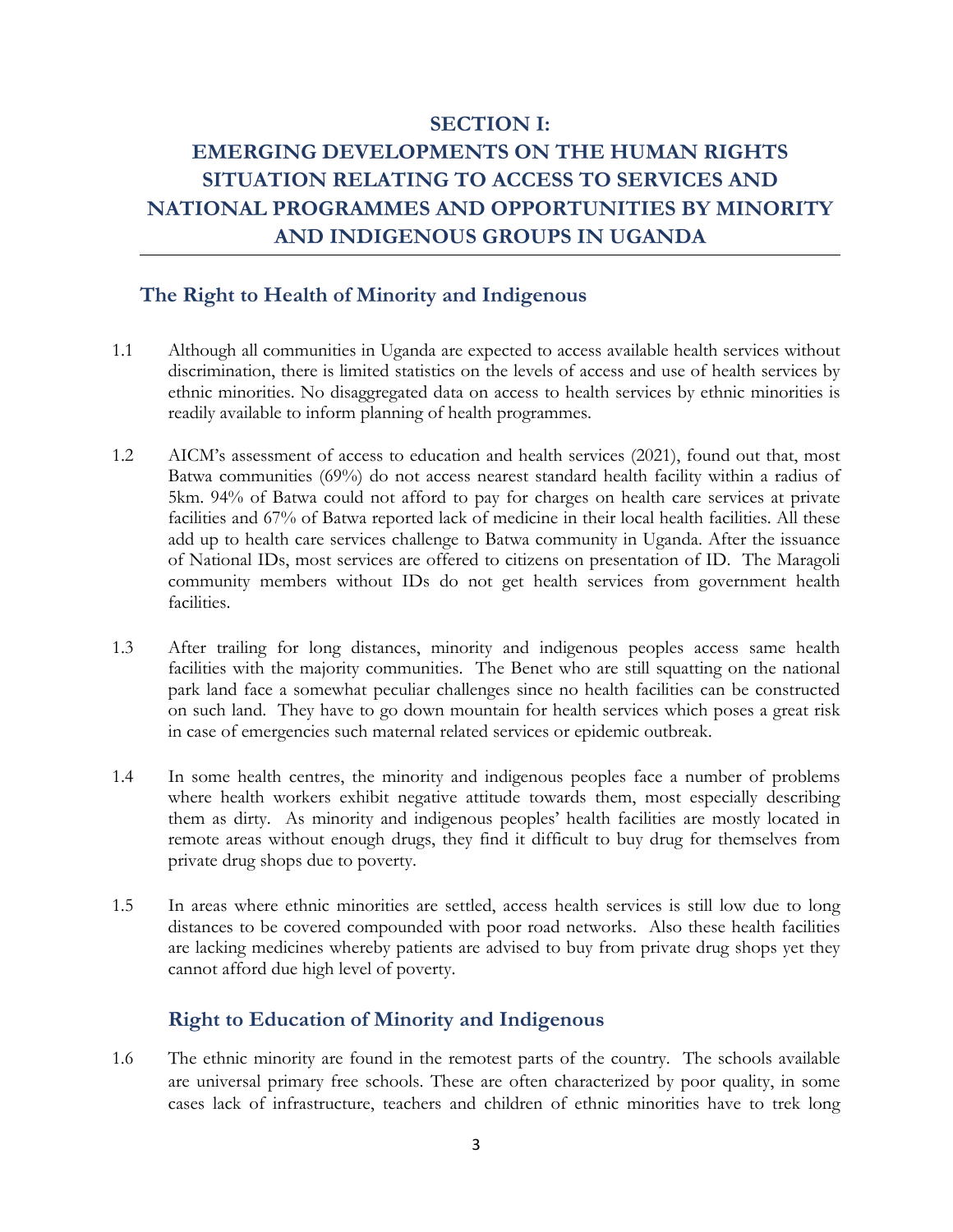# **SECTION I: EMERGING DEVELOPMENTS ON THE HUMAN RIGHTS SITUATION RELATING TO ACCESS TO SERVICES AND NATIONAL PROGRAMMES AND OPPORTUNITIES BY MINORITY AND INDIGENOUS GROUPS IN UGANDA**

### **The Right to Health of Minority and Indigenous**

- 1.1 Although all communities in Uganda are expected to access available health services without discrimination, there is limited statistics on the levels of access and use of health services by ethnic minorities. No disaggregated data on access to health services by ethnic minorities is readily available to inform planning of health programmes.
- 1.2 AICM'<sup>s</sup> assessment of access to education and health services (2021), found out that, most Batwa communities (69%) do not access nearest standard health facility within <sup>a</sup> radius of 5km. 94% of Batwa could not afford to pay for charges on health care services at private facilities and 67% of Batwa reported lack of medicine in their local health facilities. All these add up to health care services challenge to Batwa community in Uganda. After the issuance of National IDs, most services are offered to citizens on presentation of ID. The Maragoli community members without IDs do not ge<sup>t</sup> health services from government health facilities.
- 1.3 After trailing for long distances, minority and indigenous peoples access same health facilities with the majority communities. The Benet who are still squatting on the national park land face <sup>a</sup> somewhat peculiar challenges since no health facilities can be constructed on such land. They have to go down mountain for health services which poses <sup>a</sup> great risk in case of emergencies such maternal related services or epidemic outbreak.
- 1.4 In some health centres, the minority and indigenous peoples face <sup>a</sup> number of problems where health workers exhibit negative attitude towards them, most especially describing them as dirty. As minority and indigenous peoples' health facilities are mostly located in remote areas without enough drugs, they find it difficult to buy drug for themselves from private drug shops due to poverty.
- 1.5 In areas where ethnic minorities are settled, access health services is still low due to long distances to be covered compounded with poor road networks. Also these health facilities are lacking medicines whereby patients are advised to buy from private drug shops ye<sup>t</sup> they cannot afford due high level of poverty.

## **Right to Education of Minority and Indigenous**

1.6 The ethnic minority are found in the remotest parts of the country. The schools available are universal primary free schools. These are often characterized by poor quality, in some cases lack of infrastructure, teachers and children of ethnic minorities have to trek long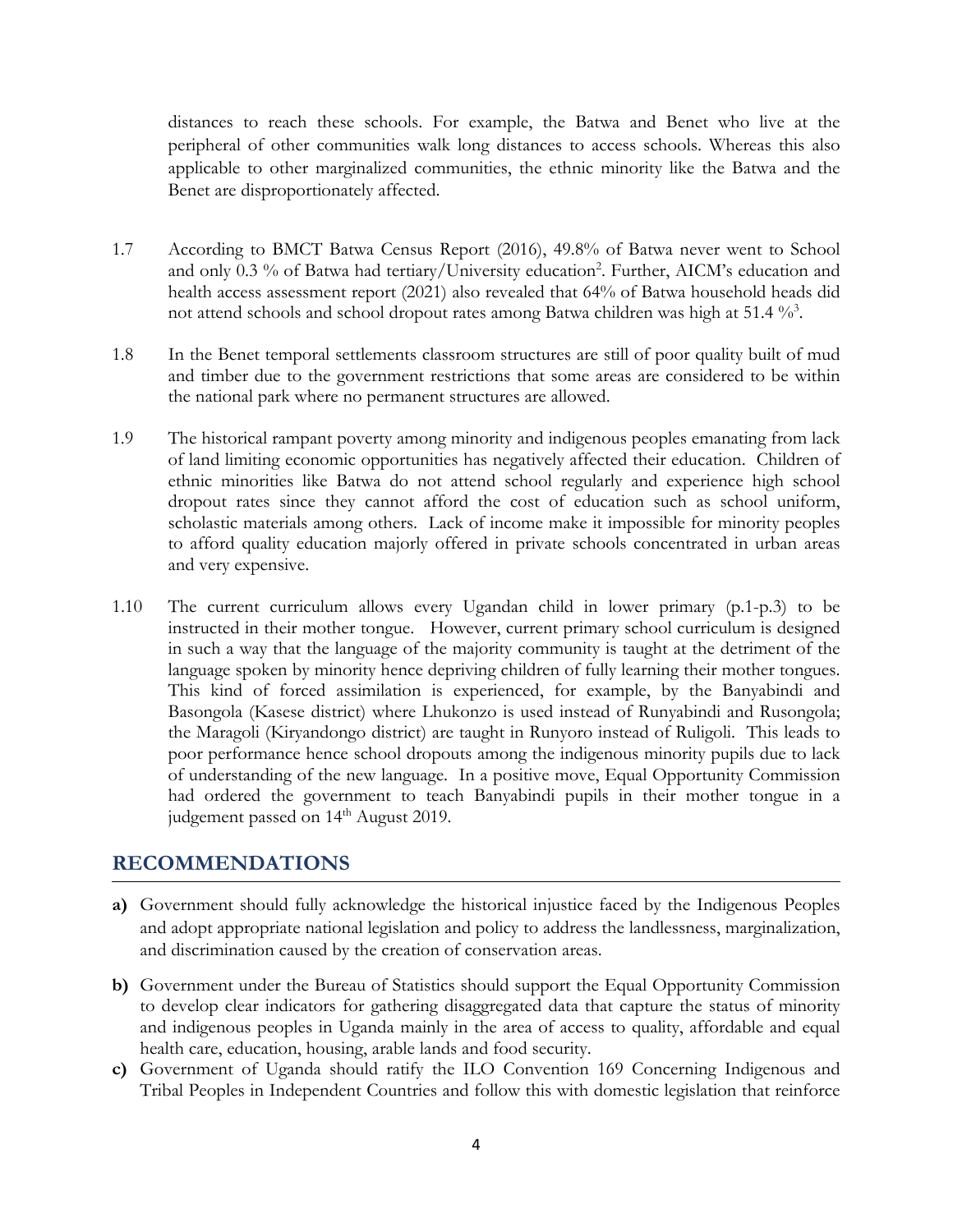distances to reach these schools. For example, the Batwa and Benet who live at the peripheral of other communities walk long distances to access schools. Whereas this also applicable to other marginalized communities, the ethnic minority like the Batwa and the Benet are disproportionately affected.

- 1.7 According to BMCT Batwa Census Report (2016), 49.8% of Batwa never went to School and only 0.3 % of Batwa had tertiary/University education<sup>2</sup>. Further, AICM's education and health access assessment report (2021) also revealed that 64% of Batwa household heads did not attend schools and school dropout rates among Batwa children was high at 51.4  $\%$ <sup>3</sup>.
- 1.8 In the Benet temporal settlements classroom structures are still of poor quality built of mud and timber due to the government restrictions that some areas are considered to be within the national park where no permanent structures are allowed.
- 1.9 The historical rampant poverty among minority and indigenous peoples emanating from lack of land limiting economic opportunities has negatively affected their education. Children of ethnic minorities like Batwa do not attend school regularly and experience high school dropout rates since they cannot afford the cost of education such as school uniform, scholastic materials among others. Lack of income make it impossible for minority peoples to afford quality education majorly offered in private schools concentrated in urban areas and very expensive.
- 1.10 The current curriculum allows every Ugandan child in lower primary (p.1-p.3) to be instructed in their mother tongue. However, current primary school curriculum is designed in such <sup>a</sup> way that the language of the majority community is taught at the detriment of the language spoken by minority hence depriving children of fully learning their mother tongues. This kind of forced assimilation is experienced, for example, by the Banyabindi and Basongola (Kasese district) where Lhukonzo is used instead of Runyabindi and Rusongola; the Maragoli (Kiryandongo district) are taught in Runyoro instead of Ruligoli. This leads to poor performance hence school dropouts among the indigenous minority pupils due to lack of understanding of the new language. In <sup>a</sup> positive move, Equal Opportunity Commission had ordered the government to teach Banyabindi pupils in their mother tongue in <sup>a</sup> judgement passed on 14<sup>th</sup> August 2019.

#### **RECOMMENDATIONS**

- **a)** Government should fully acknowledge the historical injustice faced by the Indigenous Peoples and adopt appropriate national legislation and policy to address the landlessness, marginalization, and discrimination caused by the creation of conservation areas.
- **b)** Government under the Bureau of Statistics should support the Equal Opportunity Commission to develop clear indicators for gathering disaggregated data that capture the status of minority and indigenous peoples in Uganda mainly in the area of access to quality, affordable and equal health care, education, housing, arable lands and food security.
- **c)** Government of Uganda should ratify the ILO Convention 169 Concerning Indigenous and Tribal Peoples in Independent Countries and follow this with domestic legislation that reinforce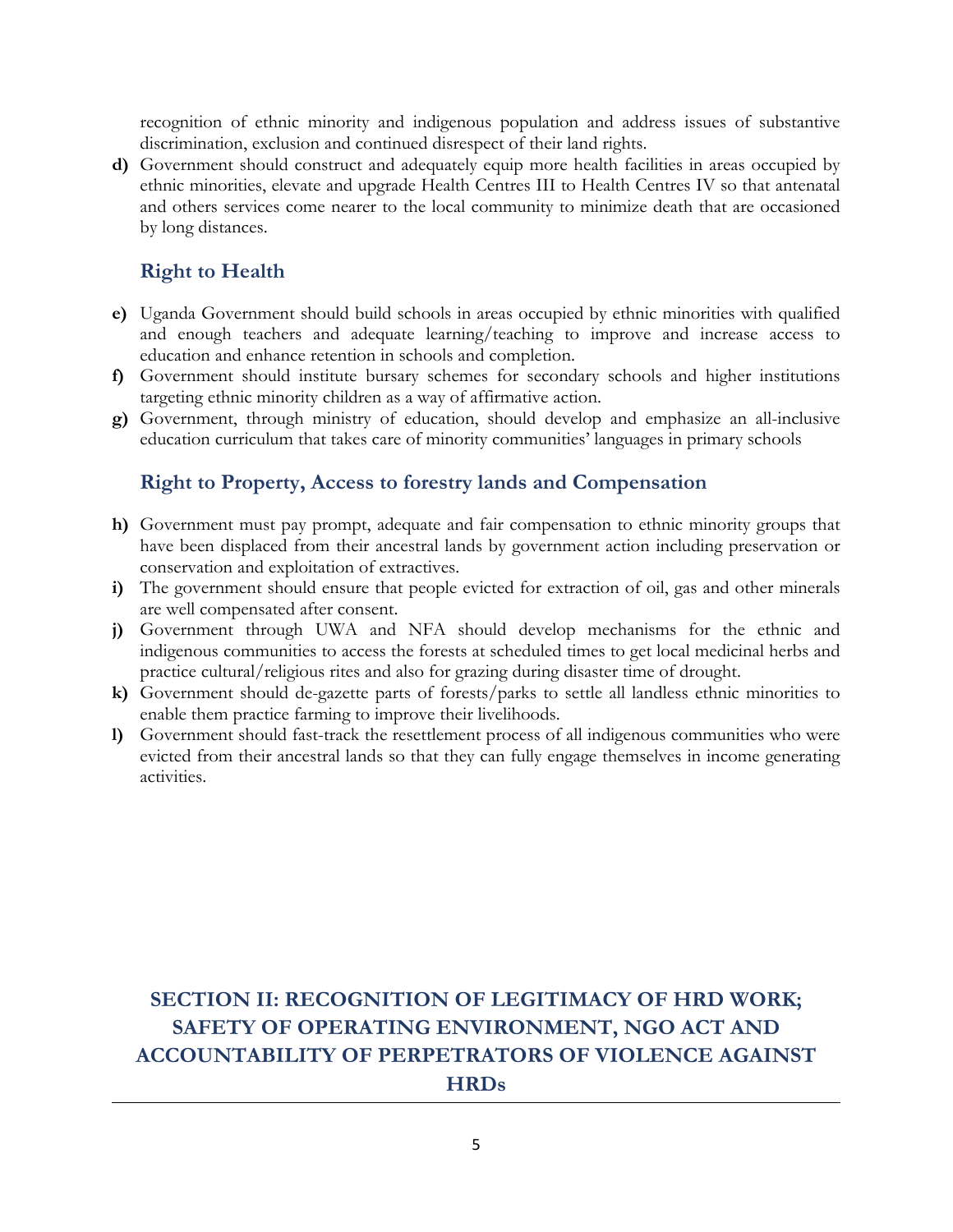recognition of ethnic minority and indigenous population and address issues of substantive discrimination, exclusion and continued disrespect of their land rights.

**d)** Government should construct and adequately equip more health facilities in areas occupied by ethnic minorities, elevate and upgrade Health Centres III to Health Centres IV so that antenatal and others services come nearer to the local community to minimize death that are occasioned by long distances.

## **Right to Health**

- **e)** Uganda Government should build schools in areas occupied by ethnic minorities with qualified and enoug<sup>h</sup> teachers and adequate learning/teaching to improve and increase access to education and enhance retention in schools and completion.
- **f)** Government should institute bursary schemes for secondary schools and higher institutions targeting ethnic minority children as <sup>a</sup> way of affirmative action.
- **g)** Government, through ministry of education, should develop and emphasize an all-inclusive education curriculum that takes care of minority communities' languages in primary schools

### **Right to Property, Access to forestry lands and Compensation**

- **h)** Government must pay prompt, adequate and fair compensation to ethnic minority groups that have been displaced from their ancestral lands by government action including preservation or conservation and exploitation of extractives.
- **i)** The government should ensure that people evicted for extraction of oil, gas and other minerals are well compensated after consent.
- **j)** Government through UWA and NFA should develop mechanisms for the ethnic and indigenous communities to access the forests at scheduled times to ge<sup>t</sup> local medicinal herbs and practice cultural/religious rites and also for grazing during disaster time of drought.
- **k)** Government should de-gazette parts of forests/parks to settle all landless ethnic minorities to enable them practice farming to improve their livelihoods.
- **l)** Government should fast-track the resettlement process of all indigenous communities who were evicted from their ancestral lands so that they can fully engage themselves in income generating activities.

# **SECTION II: RECOGNITION OF LEGITIMACY OF HRD WORK; SAFETY OF OPERATING ENVIRONMENT, NGO ACT AND ACCOUNTABILITY OF PERPETRATORS OF VIOLENCE AGAINST HRDs**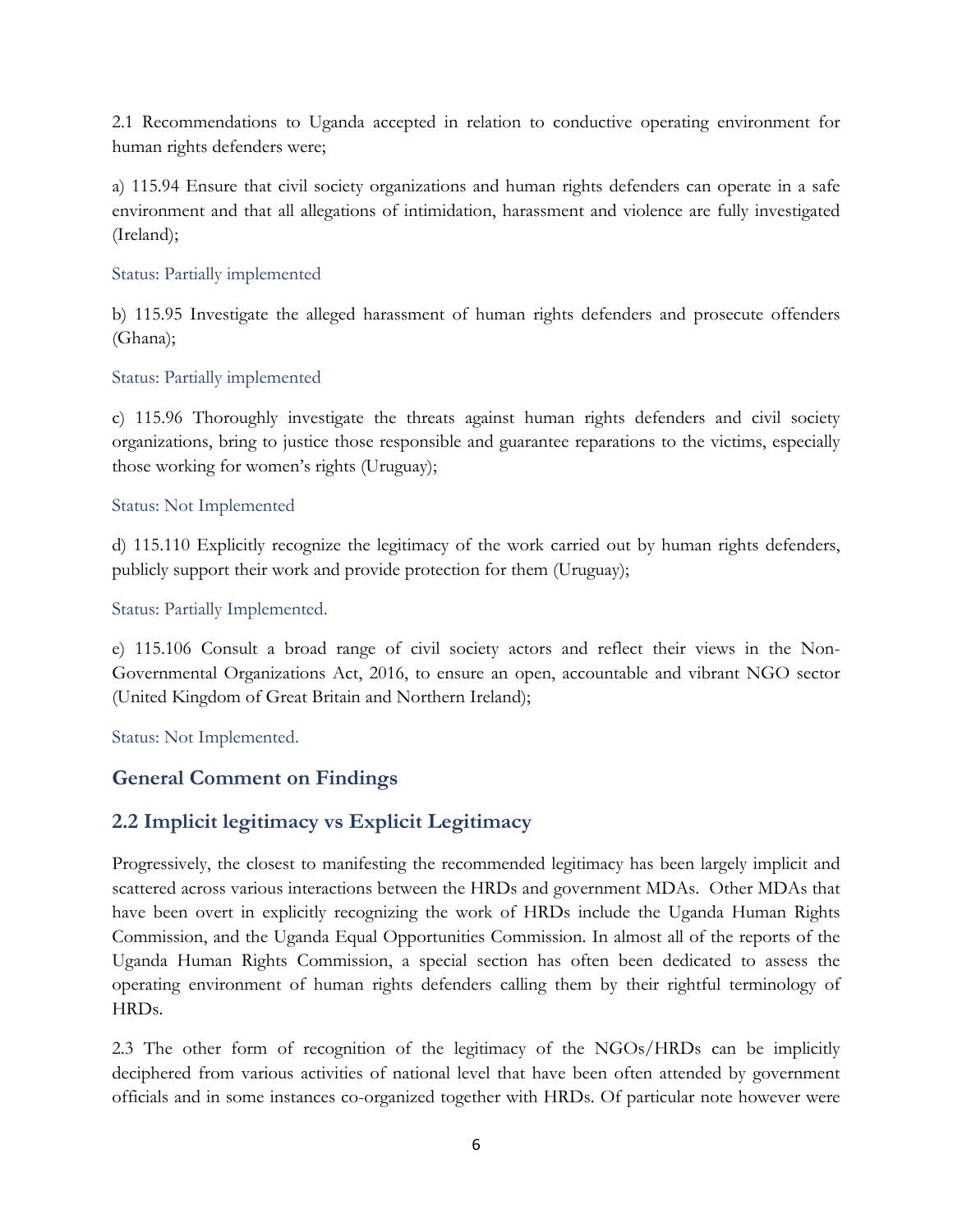2.1 Recommendations to Uganda accepted in relation to conductive operating environment for human rights defenders were;

a) 115.94 Ensure that civil society organizations and human rights defenders can operate in <sup>a</sup> safe environment and that all allegations of intimidation, harassment and violence are fully investigated (Ireland);

#### Status: Partially implemented

b) 115.95 Investigate the alleged harassment of human rights defenders and prosecute offenders (Ghana);

#### Status: Partially implemented

c) 115.96 Thoroughly investigate the threats against human rights defenders and civil society organizations, bring to justice those responsible and guarantee reparations to the victims, especially those working for women'<sup>s</sup> rights (Uruguay);

#### Status: Not Implemented

d) 115.110 Explicitly recognize the legitimacy of the work carried out by human rights defenders, publicly support their work and provide protection for them (Uruguay);

#### Status: Partially Implemented.

e) 115.106 Consult <sup>a</sup> broad range of civil society actors and reflect their views in the Non-Governmental Organizations Act, 2016, to ensure an open, accountable and vibrant NGO sector (United Kingdom of Great Britain and Northern Ireland);

Status: Not Implemented.

### **General Comment on Findings**

### **2.2 Implicit legitimacy vs Explicit Legitimacy**

Progressively, the closest to manifesting the recommended legitimacy has been largely implicit and scattered across various interactions between the HRDs and government MDAs. Other MDAs that have been overt in explicitly recognizing the work of HRDs include the Uganda Human Rights Commission, and the Uganda Equal Opportunities Commission. In almost all of the reports of the Uganda Human Rights Commission, <sup>a</sup> special section has often been dedicated to assess the operating environment of human rights defenders calling them by their rightful terminology of HRDs.

2.3 The other form of recognition of the legitimacy of the NGOs/HRDs can be implicitly deciphered from various activities of national level that have been often attended by government officials and in some instances co-organized together with HRDs. Of particular note however were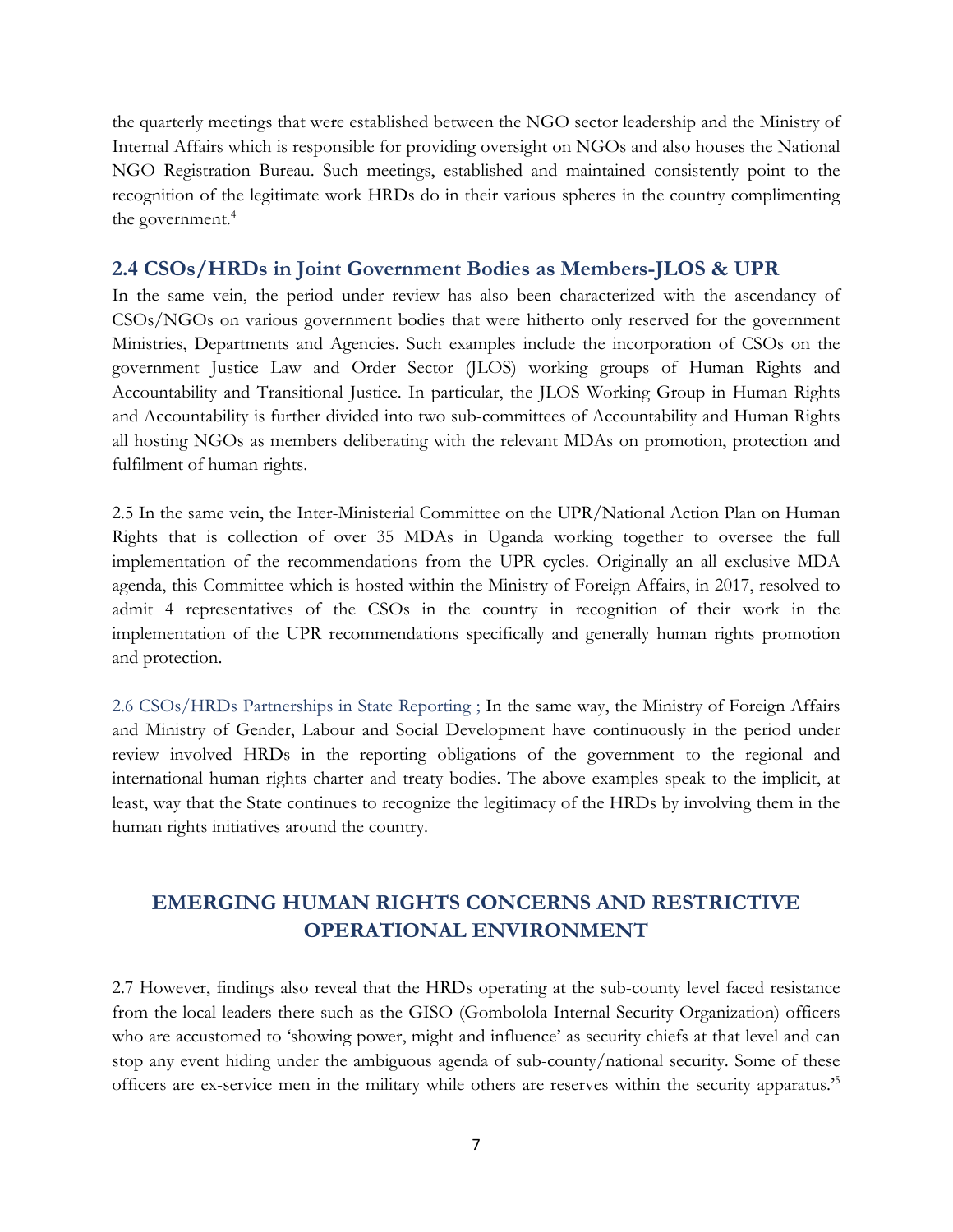the quarterly meetings that were established between the NGO sector leadership and the Ministry of Internal Affairs which is responsible for providing oversight on NGOs and also houses the National NGO Registration Bureau. Such meetings, established and maintained consistently point to the recognition of the legitimate work HRDs do in their various spheres in the country complimenting the government. 4

#### **2.4 CSOs/HRDs in Joint Government Bodies as Members-JLOS & UPR**

In the same vein, the period under review has also been characterized with the ascendancy of CSOs/NGOs on various government bodies that were hitherto only reserved for the government Ministries, Departments and Agencies. Such examples include the incorporation of CSOs on the government Justice Law and Order Sector (JLOS) working groups of Human Rights and Accountability and Transitional Justice. In particular, the JLOS Working Group in Human Rights and Accountability is further divided into two sub-committees of Accountability and Human Rights all hosting NGOs as members deliberating with the relevant MDAs on promotion, protection and fulfilment of human rights.

2.5 In the same vein, the Inter-Ministerial Committee on the UPR/National Action Plan on Human Rights that is collection of over 35 MDAs in Uganda working together to oversee the full implementation of the recommendations from the UPR cycles. Originally an all exclusive MDA agenda, this Committee which is hosted within the Ministry of Foreign Affairs, in 2017, resolved to admit 4 representatives of the CSOs in the country in recognition of their work in the implementation of the UPR recommendations specifically and generally human rights promotion and protection.

2.6 CSOs/HRDs Partnerships in State Reporting ; In the same way, the Ministry of Foreign Affairs and Ministry of Gender, Labour and Social Development have continuously in the period under review involved HRDs in the reporting obligations of the government to the regional and international human rights charter and treaty bodies. The above examples speak to the implicit, at least, way that the State continues to recognize the legitimacy of the HRDs by involving them in the human rights initiatives around the country.

# **EMERGING HUMAN RIGHTS CONCERNS AND RESTRICTIVE OPERATIONAL ENVIRONMENT**

2.7 However, findings also reveal that the HRDs operating at the sub-county level faced resistance from the local leaders there such as the GISO (Gombolola Internal Security Organization) officers who are accustomed to 'showing power, might and influence' as security chiefs at that level and can stop any event hiding under the ambiguous agenda of sub-county/national security. Some of these officers are ex-service men in the military while others are reserves within the security apparatus.' 5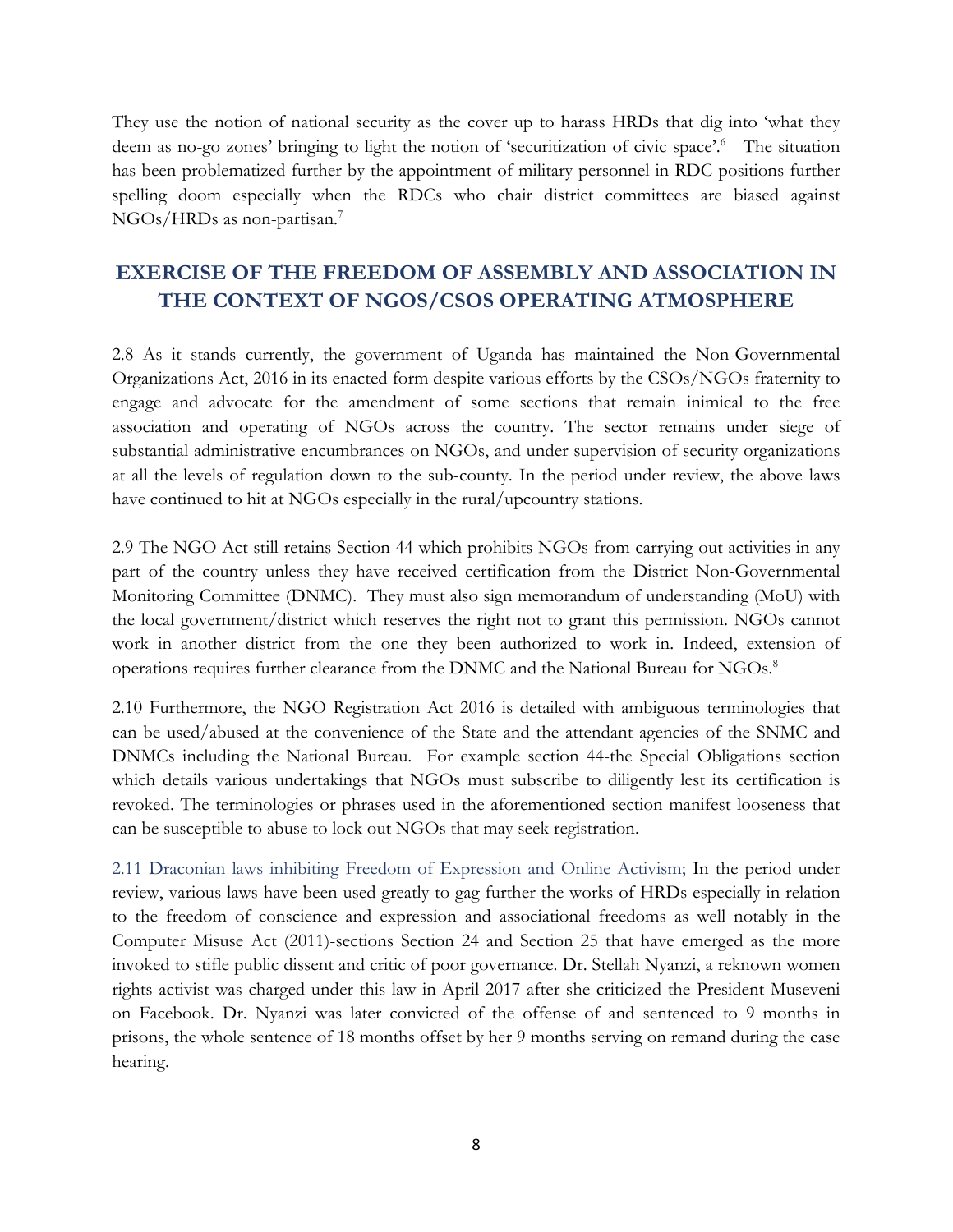They use the notion of national security as the cover up to harass HRDs that dig into 'what they deem as no-go zones' bringing to light the notion of 'securitization of civic space'. 6 The situation has been problematized further by the appointment of military personnel in RDC positions further spelling doom especially when the RDCs who chair district committees are biased against NGOs/HRDs as non-partisan. 7

# **EXERCISE OF THE FREEDOM OF ASSEMBLY AND ASSOCIATION IN THE CONTEXT OF NGOS/CSOS OPERATING ATMOSPHERE**

2.8 As it stands currently, the government of Uganda has maintained the Non-Governmental Organizations Act, <sup>2016</sup> in its enacted form despite various efforts by the CSOs/NGOs fraternity to engage and advocate for the amendment of some sections that remain inimical to the free association and operating of NGOs across the country. The sector remains under siege of substantial administrative encumbrances on NGOs, and under supervision of security organizations at all the levels of regulation down to the sub-county. In the period under review, the above laws have continued to hit at NGOs especially in the rural/upcountry stations.

2.9 The NGO Act still retains Section 44 which prohibits NGOs from carrying out activities in any part of the country unless they have received certification from the District Non-Governmental Monitoring Committee (DNMC). They must also sign memorandum of understanding (MoU) with the local government/district which reserves the right not to grant this permission. NGOs cannot work in another district from the one they been authorized to work in. Indeed, extension of operations requires further clearance from the DNMC and the National Bureau for NGOs. 8

2.10 Furthermore, the NGO Registration Act 2016 is detailed with ambiguous terminologies that can be used/abused at the convenience of the State and the attendant agencies of the SNMC and DNMCs including the National Bureau. For example section 44-the Special Obligations section which details various undertakings that NGOs must subscribe to diligently lest its certification is revoked. The terminologies or phrases used in the aforementioned section manifest looseness that can be susceptible to abuse to lock out NGOs that may seek registration.

2.11 Draconian laws inhibiting Freedom of Expression and Online Activism; In the period under review, various laws have been used greatly to gag further the works of HRDs especially in relation to the freedom of conscience and expression and associational freedoms as well notably in the Computer Misuse Act (2011)-sections Section 24 and Section 25 that have emerged as the more invoked to stifle public dissent and critic of poor governance. Dr. Stellah Nyanzi, <sup>a</sup> reknown women rights activist was charged under this law in April 2017 after she criticized the President Museveni on Facebook. Dr. Nyanzi was later convicted of the offense of and sentenced to 9 months in prisons, the whole sentence of 18 months offset by her 9 months serving on remand during the case hearing.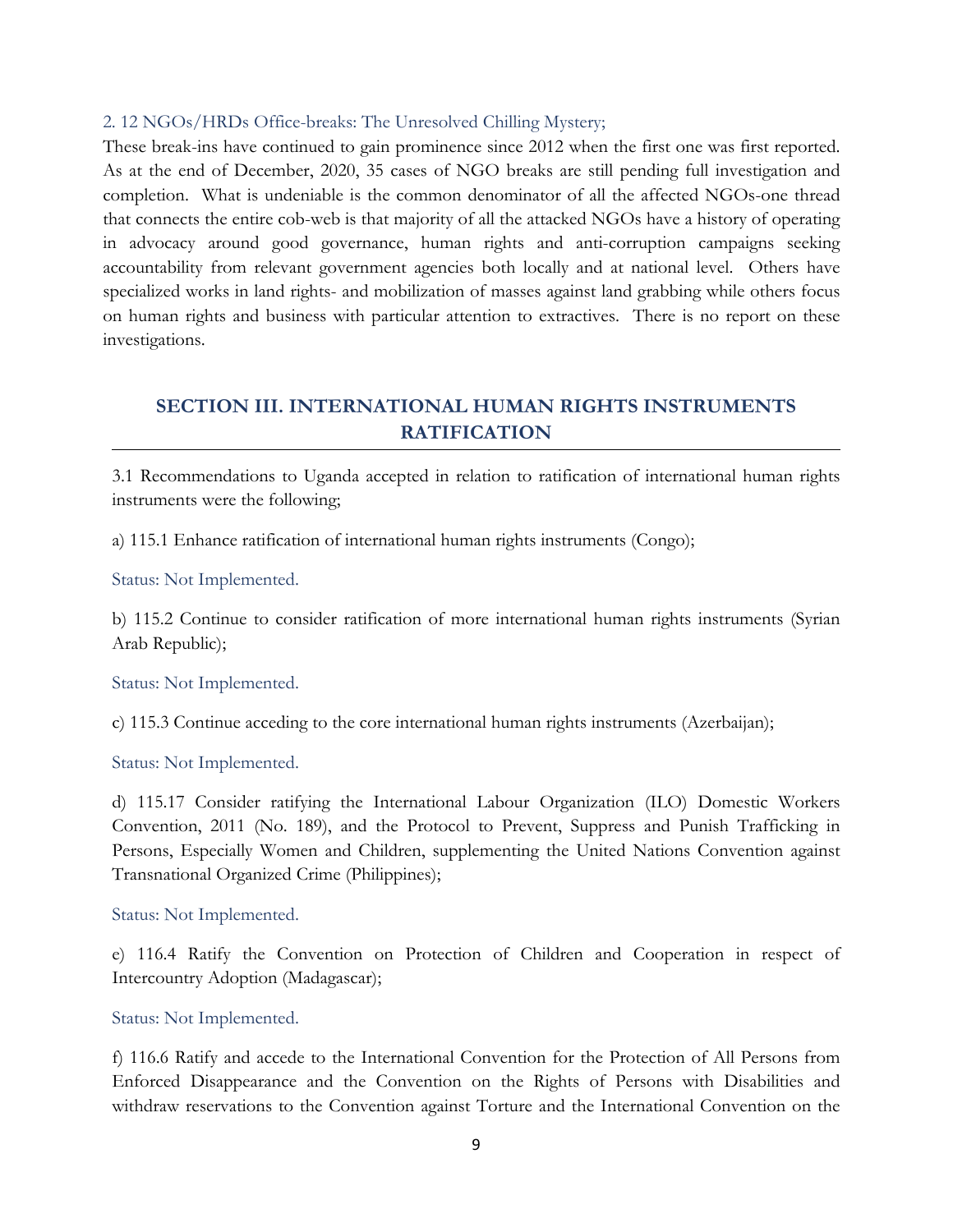#### 2. <sup>12</sup> NGOs/HRDs Office-breaks: The Unresolved Chilling Mystery;

These break-ins have continued to gain prominence since 2012 when the first one was first reported. As at the end of December, 2020, 35 cases of NGO breaks are still pending full investigation and completion. What is undeniable is the common denominator of all the affected NGOs-one thread that connects the entire cob-web is that majority of all the attacked NGOs have <sup>a</sup> history of operating in advocacy around good governance, human rights and anti-corruption campaigns seeking accountability from relevant government agencies both locally and at national level. Others have specialized works in land rights- and mobilization of masses against land grabbing while others focus on human rights and business with particular attention to extractives. There is no report on these investigations.

### **SECTION III. INTERNATIONAL HUMAN RIGHTS INSTRUMENTS RATIFICATION**

3.1 Recommendations to Uganda accepted in relation to ratification of international human rights instruments were the following;

a) 115.1 Enhance ratification of international human rights instruments (Congo);

Status: Not Implemented.

b) 115.2 Continue to consider ratification of more international human rights instruments (Syrian Arab Republic);

Status: Not Implemented.

c) 115.3 Continue acceding to the core international human rights instruments (Azerbaijan);

Status: Not Implemented.

d) 115.17 Consider ratifying the International Labour Organization (ILO) Domestic Workers Convention, 2011 (No. 189), and the Protocol to Prevent, Suppress and Punish Trafficking in Persons, Especially Women and Children, supplementing the United Nations Convention against Transnational Organized Crime (Philippines);

Status: Not Implemented.

e) 116.4 Ratify the Convention on Protection of Children and Cooperation in respect of Intercountry Adoption (Madagascar);

Status: Not Implemented.

f) 116.6 Ratify and accede to the International Convention for the Protection of All Persons from Enforced Disappearance and the Convention on the Rights of Persons with Disabilities and withdraw reservations to the Convention against Torture and the International Convention on the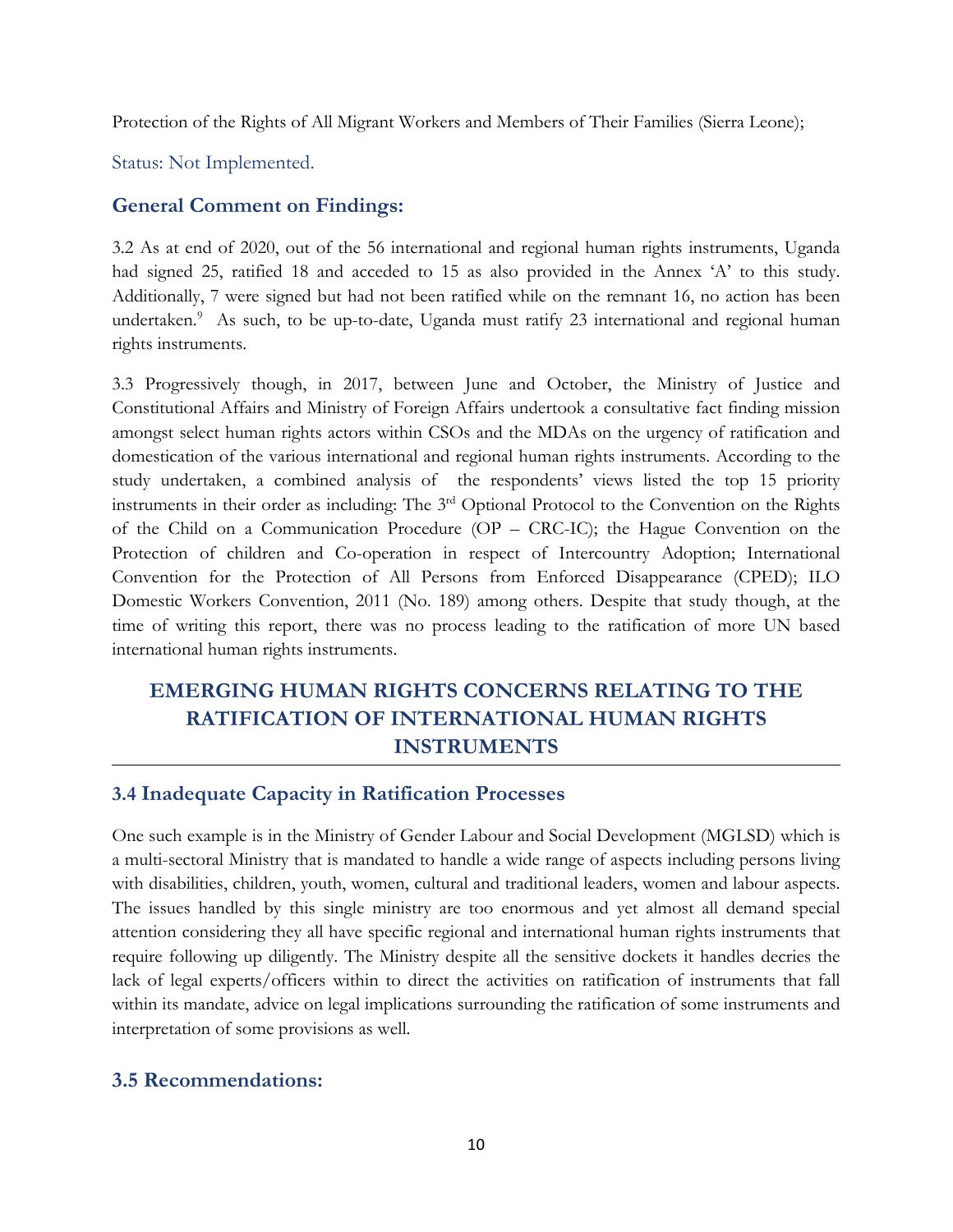Protection of the Rights of All Migrant Workers and Members of Their Families (Sierra Leone);

Status: Not Implemented.

#### **General Comment on Findings:**

3.2 As at end of 2020, out of the 56 international and regional human rights instruments, Uganda had signed 25, ratified 18 and acceded to 15 as also provided in the Annex 'A' to this study. Additionally, <sup>7</sup> were signed but had not been ratified while on the remnant 16, no action has been undertaken. <sup>9</sup> As such, to be up-to-date, Uganda must ratify <sup>23</sup> international and regional human rights instruments.

3.3 Progressively though, in 2017, between June and October, the Ministry of Justice and Constitutional Affairs and Ministry of Foreign Affairs undertook <sup>a</sup> consultative fact finding mission amongst select human rights actors within CSOs and the MDAs on the urgency of ratification and domestication of the various international and regional human rights instruments. According to the study undertaken, <sup>a</sup> combined analysis of the respondents' views listed the top 15 priority instruments in their order as including: The <sup>3</sup>rd Optional Protocol to the Convention on the Rights of the Child on <sup>a</sup> Communication Procedure (OP – CRC-IC); the Hague Convention on the Protection of children and Co-operation in respect of Intercountry Adoption; International Convention for the Protection of All Persons from Enforced Disappearance (CPED); ILO Domestic Workers Convention, 2011 (No. 189) among others. Despite that study though, at the time of writing this report, there was no process leading to the ratification of more UN based international human rights instruments.

# **EMERGING HUMAN RIGHTS CONCERNS RELATING TO THE RATIFICATION OF INTERNATIONAL HUMAN RIGHTS INSTRUMENTS**

#### **3.4 Inadequate Capacity in Ratification Processes**

One such example is in the Ministry of Gender Labour and Social Development (MGLSD) which is <sup>a</sup> multi-sectoral Ministry that is mandated to handle <sup>a</sup> wide range of aspects including persons living with disabilities, children, youth, women, cultural and traditional leaders, women and labour aspects. The issues handled by this single ministry are too enormous and ye<sup>t</sup> almost all demand special attention considering they all have specific regional and international human rights instruments that require following up diligently. The Ministry despite all the sensitive dockets it handles decries the lack of legal experts/officers within to direct the activities on ratification of instruments that fall within its mandate, advice on legal implications surrounding the ratification of some instruments and interpretation of some provisions as well.

#### **3.5 Recommendations:**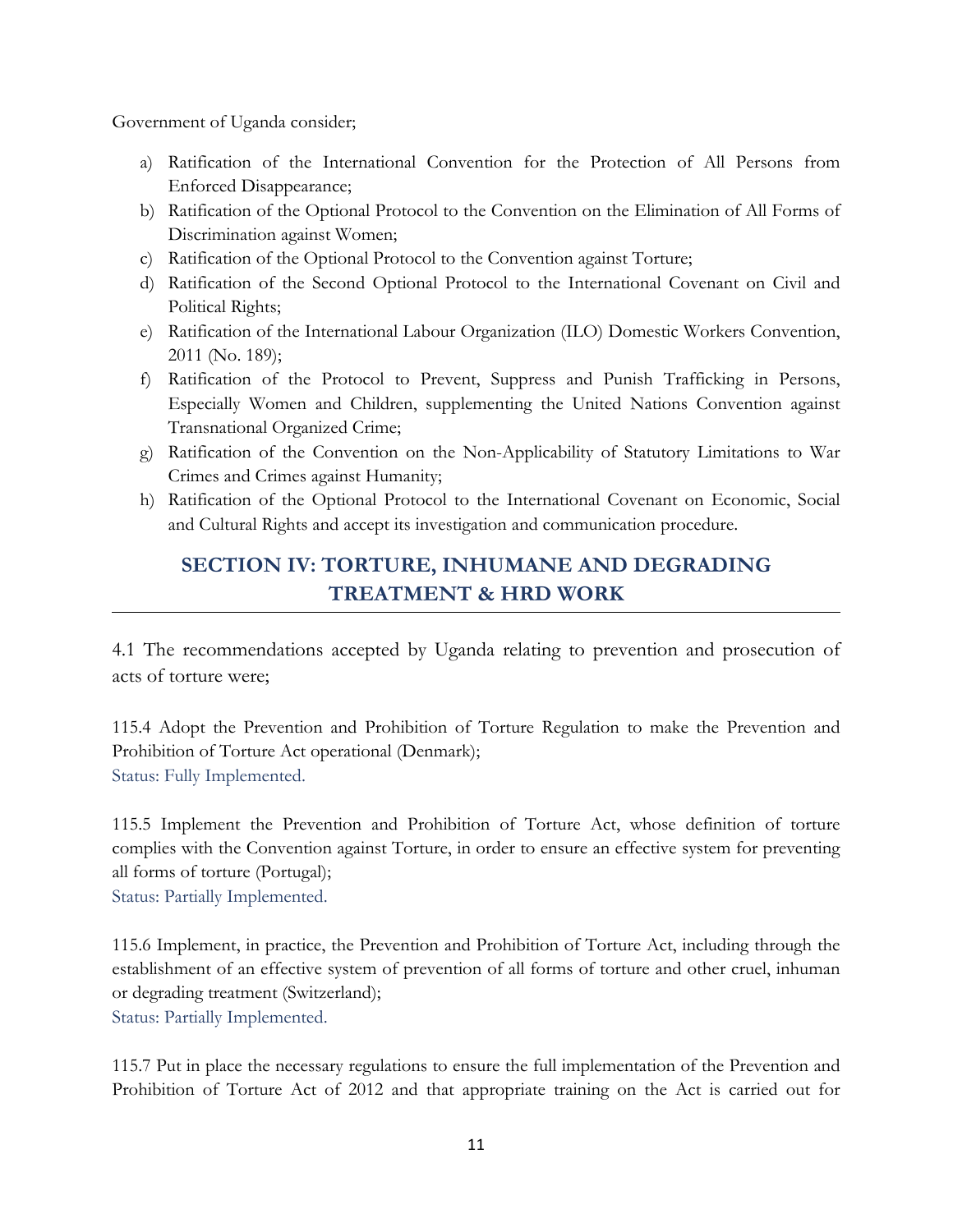Government of Uganda consider;

- a) Ratification of the International Convention for the Protection of All Persons from Enforced Disappearance;
- b) Ratification of the Optional Protocol to the Convention on the Elimination of All Forms of Discrimination against Women;
- c) Ratification of the Optional Protocol to the Convention against Torture;
- d) Ratification of the Second Optional Protocol to the International Covenant on Civil and Political Rights;
- e) Ratification of the International Labour Organization (ILO) Domestic Workers Convention, 2011 (No. 189);
- f) Ratification of the Protocol to Prevent, Suppress and Punish Trafficking in Persons, Especially Women and Children, supplementing the United Nations Convention against Transnational Organized Crime;
- g) Ratification of the Convention on the Non-Applicability of Statutory Limitations to War Crimes and Crimes against Humanity;
- h) Ratification of the Optional Protocol to the International Covenant on Economic, Social and Cultural Rights and accept its investigation and communication procedure.

# **SECTION IV: TORTURE, INHUMANE AND DEGRADING TREATMENT & HRD WORK**

4.1 The recommendations accepted by Uganda relating to prevention and prosecution of acts of torture were;

115.4 Adopt the Prevention and Prohibition of Torture Regulation to make the Prevention and Prohibition of Torture Act operational (Denmark); Status: Fully Implemented.

115.5 Implement the Prevention and Prohibition of Torture Act, whose definition of torture complies with the Convention against Torture, in order to ensure an effective system for preventing all forms of torture (Portugal); Status: Partially Implemented.

115.6 Implement, in practice, the Prevention and Prohibition of Torture Act, including through the establishment of an effective system of prevention of all forms of torture and other cruel, inhuman or degrading treatment (Switzerland);

Status: Partially Implemented.

115.7 Put in place the necessary regulations to ensure the full implementation of the Prevention and Prohibition of Torture Act of 2012 and that appropriate training on the Act is carried out for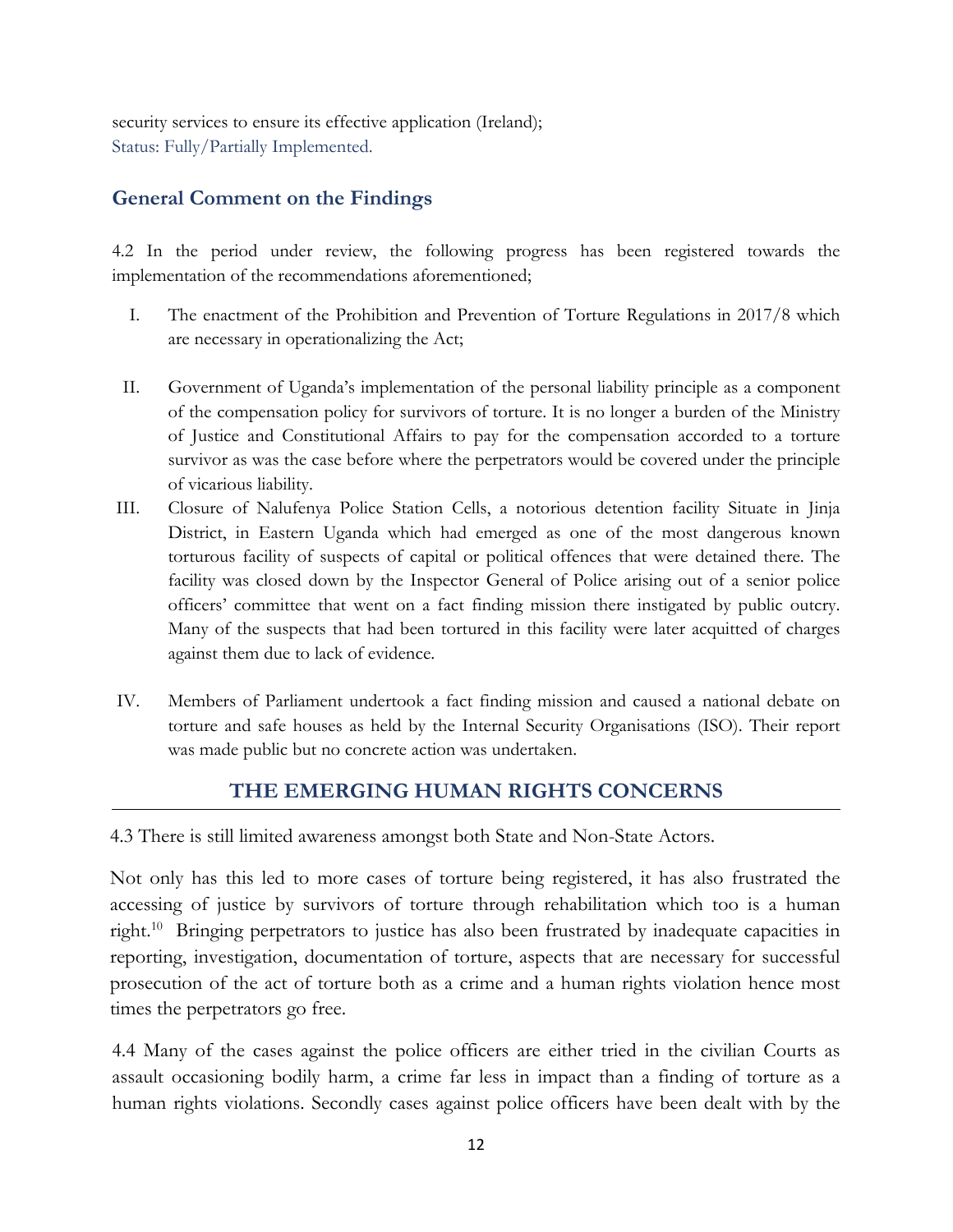security services to ensure its effective application (Ireland); Status: Fully/Partially Implemented.

## **General Comment on the Findings**

4.2 In the period under review, the following progress has been registered towards the implementation of the recommendations aforementioned;

- I. The enactment of the Prohibition and Prevention of Torture Regulations in 2017/8 which are necessary in operationalizing the Act;
- II. Government of Uganda'<sup>s</sup> implementation of the personal liability principle as <sup>a</sup> component of the compensation policy for survivors of torture. It is no longer <sup>a</sup> burden of the Ministry of Justice and Constitutional Affairs to pay for the compensation accorded to <sup>a</sup> torture survivor as was the case before where the perpetrators would be covered under the principle of vicarious liability.
- III. Closure of Nalufenya Police Station Cells, <sup>a</sup> notorious detention facility Situate in Jinja District, in Eastern Uganda which had emerged as one of the most dangerous known torturous facility of suspects of capital or political offences that were detained there. The facility was closed down by the Inspector General of Police arising out of <sup>a</sup> senior police officers' committee that went on <sup>a</sup> fact finding mission there instigated by public outcry. Many of the suspects that had been tortured in this facility were later acquitted of charges against them due to lack of evidence.
- IV. Members of Parliament undertook <sup>a</sup> fact finding mission and caused <sup>a</sup> national debate on torture and safe houses as held by the Internal Security Organisations (ISO). Their report was made public but no concrete action was undertaken.

## **THE EMERGING HUMAN RIGHTS CONCERNS**

4.3 There is still limited awareness amongst both State and Non-State Actors.

Not only has this led to more cases of torture being registered, it has also frustrated the accessing of justice by survivors of torture through rehabilitation which too is <sup>a</sup> human right. 10 Bringing perpetrators to justice has also been frustrated by inadequate capacities in reporting, investigation, documentation of torture, aspects that are necessary for successful prosecution of the act of torture both as <sup>a</sup> crime and <sup>a</sup> human rights violation hence most times the perpetrators go free.

4.4 Many of the cases against the police officers are either tried in the civilian Courts as assault occasioning bodily harm, <sup>a</sup> crime far less in impact than <sup>a</sup> finding of torture as <sup>a</sup> human rights violations. Secondly cases against police officers have been dealt with by the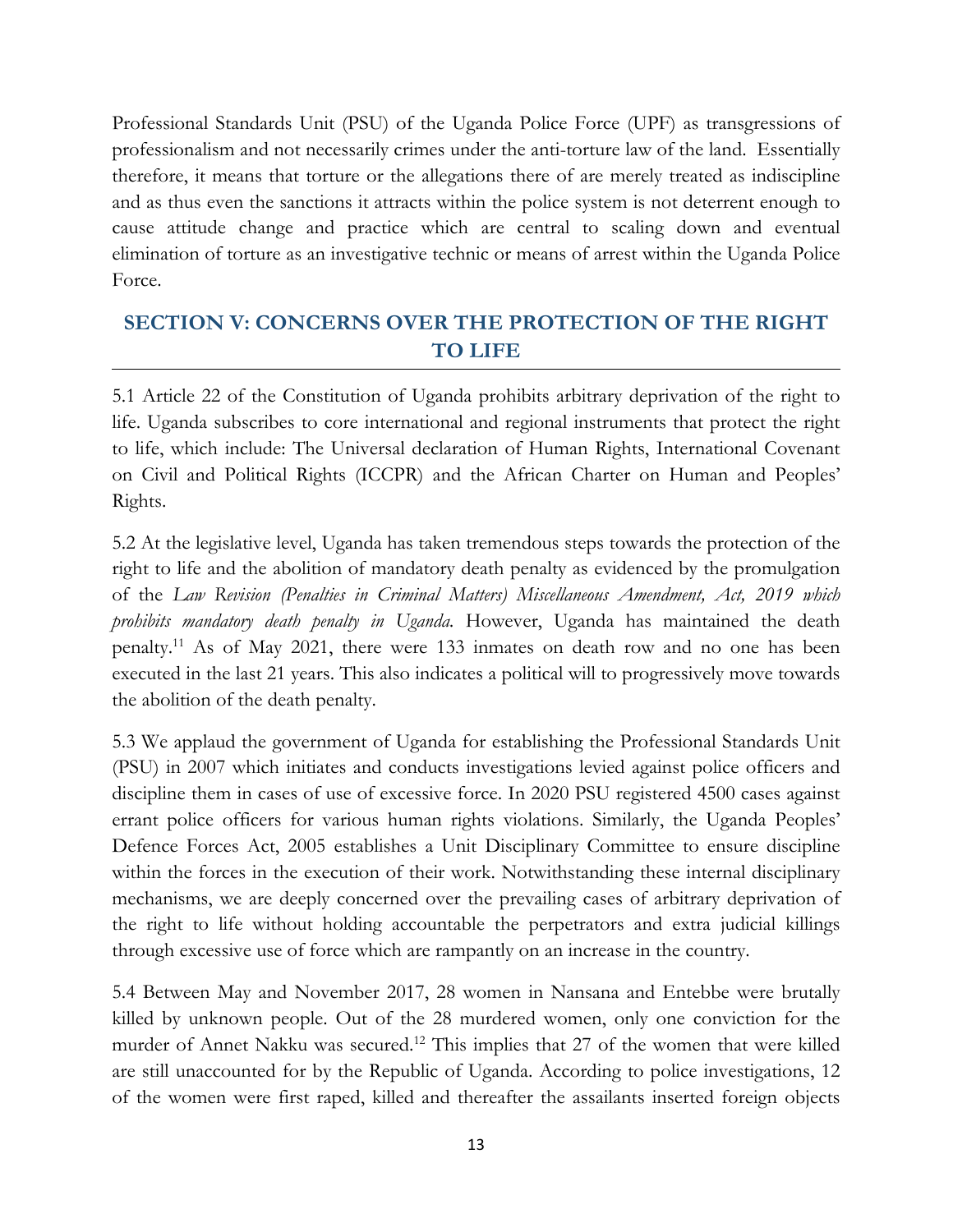Professional Standards Unit (PSU) of the Uganda Police Force (UPF) as transgressions of professionalism and not necessarily crimes under the anti-torture law of the land. Essentially therefore, it means that torture or the allegations there of are merely treated as indiscipline and as thus even the sanctions it attracts within the police system is not deterrent enough to cause attitude change and practice which are central to scaling down and eventual elimination of torture as an investigative technic or means of arrest within the Uganda Police Force.

# **SECTION V: CONCERNS OVER THE PROTECTION OF THE RIGHT TO LIFE**

5.1 Article <sup>22</sup> of the Constitution of Uganda prohibits arbitrary deprivation of the right to life. Uganda subscribes to core international and regional instruments that protect the right to life, which include: The Universal declaration of Human Rights, International Covenant on Civil and Political Rights (ICCPR) and the African Charter on Human and Peoples' Rights.

5.2 At the legislative level, Uganda has taken tremendous steps towards the protection of the right to life and the abolition of mandatory death penalty as evidenced by the promulgation of the *Law Revision (Penalties in Criminal Matters) Miscellaneous Amendment, Act, 2019 which prohibits mandatory death penalty in Uganda.* However, Uganda has maintained the death penalty. 11 As of May 2021, there were 133 inmates on death row and no one has been executed in the last <sup>21</sup> years. This also indicates <sup>a</sup> political will to progressively move towards the abolition of the death penalty.

5.3 We applaud the government of Uganda for establishing the Professional Standards Unit (PSU) in 2007 which initiates and conducts investigations levied against police officers and discipline them in cases of use of excessive force. In 2020 PSU registered 4500 cases against errant police officers for various human rights violations. Similarly, the Uganda Peoples' Defence Forces Act, 2005 establishes <sup>a</sup> Unit Disciplinary Committee to ensure discipline within the forces in the execution of their work. Notwithstanding these internal disciplinary mechanisms, we are deeply concerned over the prevailing cases of arbitrary deprivation of the right to life without holding accountable the perpetrators and extra judicial killings through excessive use of force which are rampantly on an increase in the country.

5.4 Between May and November 2017, 28 women in Nansana and Entebbe were brutally killed by unknown people. Out of the 28 murdered women, only one conviction for the murder of Annet Nakku was secured. 12 This implies that 27 of the women that were killed are still unaccounted for by the Republic of Uganda. According to police investigations, <sup>12</sup> of the women were first raped, killed and thereafter the assailants inserted foreign objects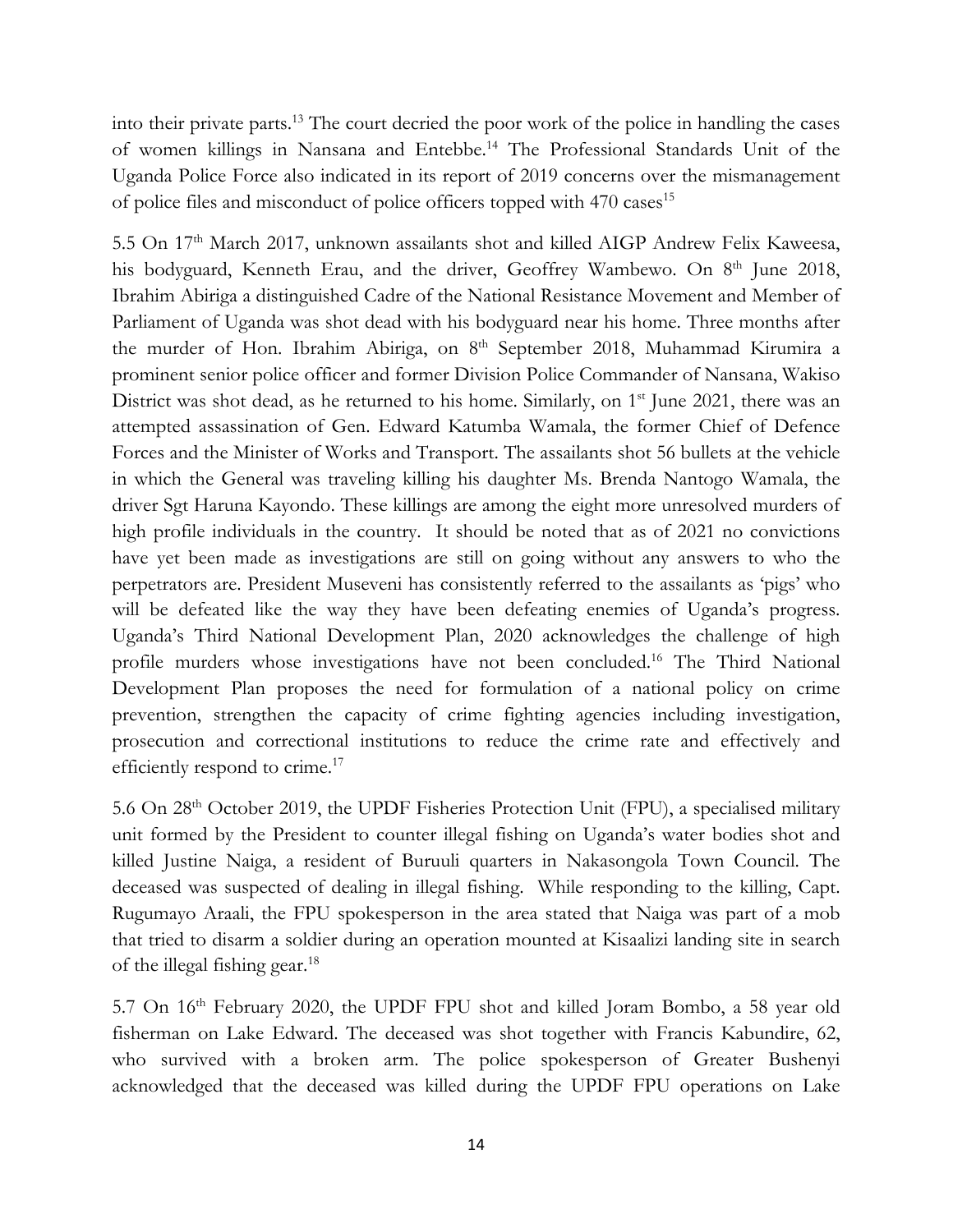into their private parts. 13 The court decried the poor work of the police in handling the cases of women killings in Nansana and Entebbe. 14 The Professional Standards Unit of the Uganda Police Force also indicated in its report of 2019 concerns over the mismanagement of police files and misconduct of police officers topped with 470 cases 15

5.5 On 17th March 2017, unknown assailants shot and killed AIGP Andrew Felix Kaweesa, his bodyguard, Kenneth Erau, and the driver, Geoffrey Wambewo. On 8<sup>th</sup> June 2018, Ibrahim Abiriga <sup>a</sup> distinguished Cadre of the National Resistance Movement and Member of Parliament of Uganda was shot dead with his bodyguard near his home. Three months after the murder of Hon. Ibrahim Abiriga, on 8<sup>th</sup> September 2018, Muhammad Kirumira a prominent senior police officer and former Division Police Commander of Nansana, Wakiso District was shot dead, as he returned to his home. Similarly, on 1st June 2021, there was an attempted assassination of Gen. Edward Katumba Wamala, the former Chief of Defence Forces and the Minister of Works and Transport. The assailants shot 56 bullets at the vehicle in which the General was traveling killing his daughter Ms. Brenda Nantogo Wamala, the driver Sgt Haruna Kayondo. These killings are among the eight more unresolved murders of high profile individuals in the country. It should be noted that as of 2021 no convictions have ye<sup>t</sup> been made as investigations are still on going without any answers to who the perpetrators are. President Museveni has consistently referred to the assailants as 'pigs' who will be defeated like the way they have been defeating enemies of Uganda's progress. Uganda'<sup>s</sup> Third National Development Plan, 2020 acknowledges the challenge of high profile murders whose investigations have not been concluded. 16 The Third National Development Plan proposes the need for formulation of <sup>a</sup> national policy on crime prevention, strengthen the capacity of crime fighting agencies including investigation, prosecution and correctional institutions to reduce the crime rate and effectively and efficiently respond to crime.<sup>17</sup>

5.6 On <sup>28</sup>th October 2019, the UPDF Fisheries Protection Unit (FPU), <sup>a</sup> specialised military unit formed by the President to counter illegal fishing on Uganda'<sup>s</sup> water bodies shot and killed Justine Naiga, <sup>a</sup> resident of Buruuli quarters in Nakasongola Town Council. The deceased was suspected of dealing in illegal fishing. While responding to the killing, Capt. Rugumayo Araali, the FPU spokesperson in the area stated that Naiga was part of <sup>a</sup> mob that tried to disarm <sup>a</sup> soldier during an operation mounted at Kisaalizi landing site in search of the illegal fishing gear. 18

5.7 On 16<sup>th</sup> February 2020, the UPDF FPU shot and killed Joram Bombo, a 58 year old fisherman on Lake Edward. The deceased was shot together with Francis Kabundire, 62, who survived with <sup>a</sup> broken arm. The police spokesperson of Greater Bushenyi acknowledged that the deceased was killed during the UPDF FPU operations on Lake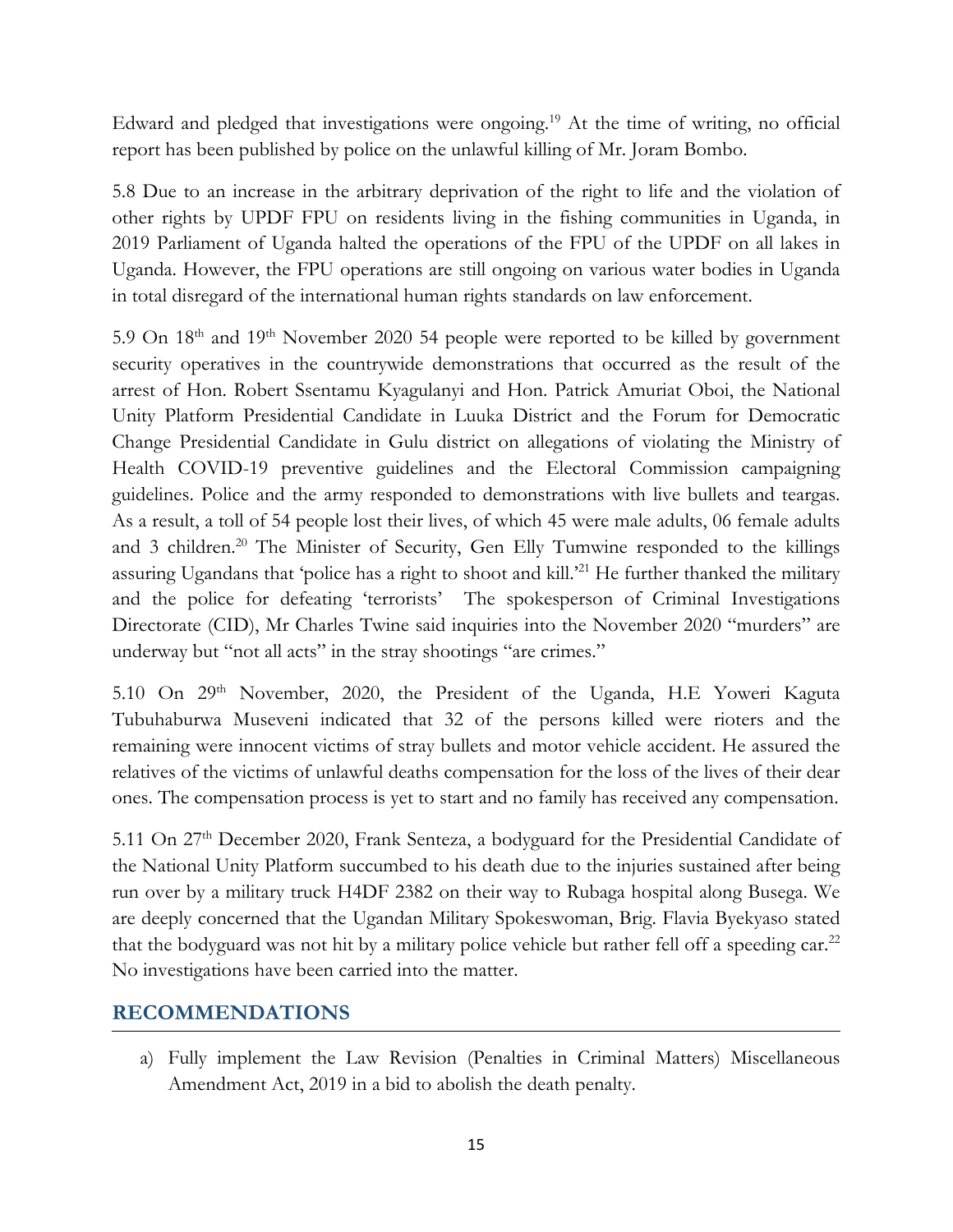Edward and pledged that investigations were ongoing. <sup>19</sup> At the time of writing, no official report has been published by police on the unlawful killing of Mr. Joram Bombo.

5.8 Due to an increase in the arbitrary deprivation of the right to life and the violation of other rights by UPDF FPU on residents living in the fishing communities in Uganda, in 2019 Parliament of Uganda halted the operations of the FPU of the UPDF on all lakes in Uganda. However, the FPU operations are still ongoing on various water bodies in Uganda in total disregard of the international human rights standards on law enforcement.

5.9 On 18th and <sup>19</sup>th November <sup>2020</sup> <sup>54</sup> people were reporte<sup>d</sup> to be killed by government security operatives in the countrywide demonstrations that occurred as the result of the arrest of Hon. Robert Ssentamu Kyagulanyi and Hon. Patrick Amuriat Oboi, the National Unity Platform Presidential Candidate in Luuka District and the Forum for Democratic Change Presidential Candidate in Gulu district on allegations of violating the Ministry of Health COVID-19 preventive guidelines and the Electoral Commission campaigning guidelines. Police and the army responded to demonstrations with live bullets and teargas. As <sup>a</sup> result, <sup>a</sup> toll of 54 people lost their lives, of which 45 were male adults, 06 female adults and 3 children.<sup>20</sup> The Minister of Security, Gen Elly Tumwine responded to the killings assuring Ugandans that 'police has a right to shoot and kill.'<sup>21</sup> He further thanked the military and the police for defeating 'terrorists' The spokesperson of Criminal Investigations Directorate (CID), Mr Charles Twine said inquiries into the November 2020 "murders" are underway but "not all acts" in the stray shootings "are crimes."

5.10 On 29<sup>th</sup> November, 2020, the President of the Uganda, H.E Yoweri Kaguta Tubuhaburwa Museveni indicated that 32 of the persons killed were rioters and the remaining were innocent victims of stray bullets and motor vehicle accident. He assured the relatives of the victims of unlawful deaths compensation for the loss of the lives of their dear ones. The compensation process is ye<sup>t</sup> to start and no family has received any compensation.

5.11 On 27<sup>th</sup> December 2020, Frank Senteza, a bodyguard for the Presidential Candidate of the National Unity Platform succumbed to his death due to the injuries sustained after being run over by <sup>a</sup> military truck H4DF 2382 on their way to Rubaga hospital along Busega. We are deeply concerned that the Ugandan Military Spokeswoman, Brig. Flavia Byekyaso stated that the bodyguard was not hit by a military police vehicle but rather fell off a speeding car.<sup>22</sup> No investigations have been carried into the matter.

## **RECOMMENDATIONS**

a) Fully implement the Law Revision (Penalties in Criminal Matters) Miscellaneous Amendment Act, 2019 in <sup>a</sup> bid to abolish the death penalty.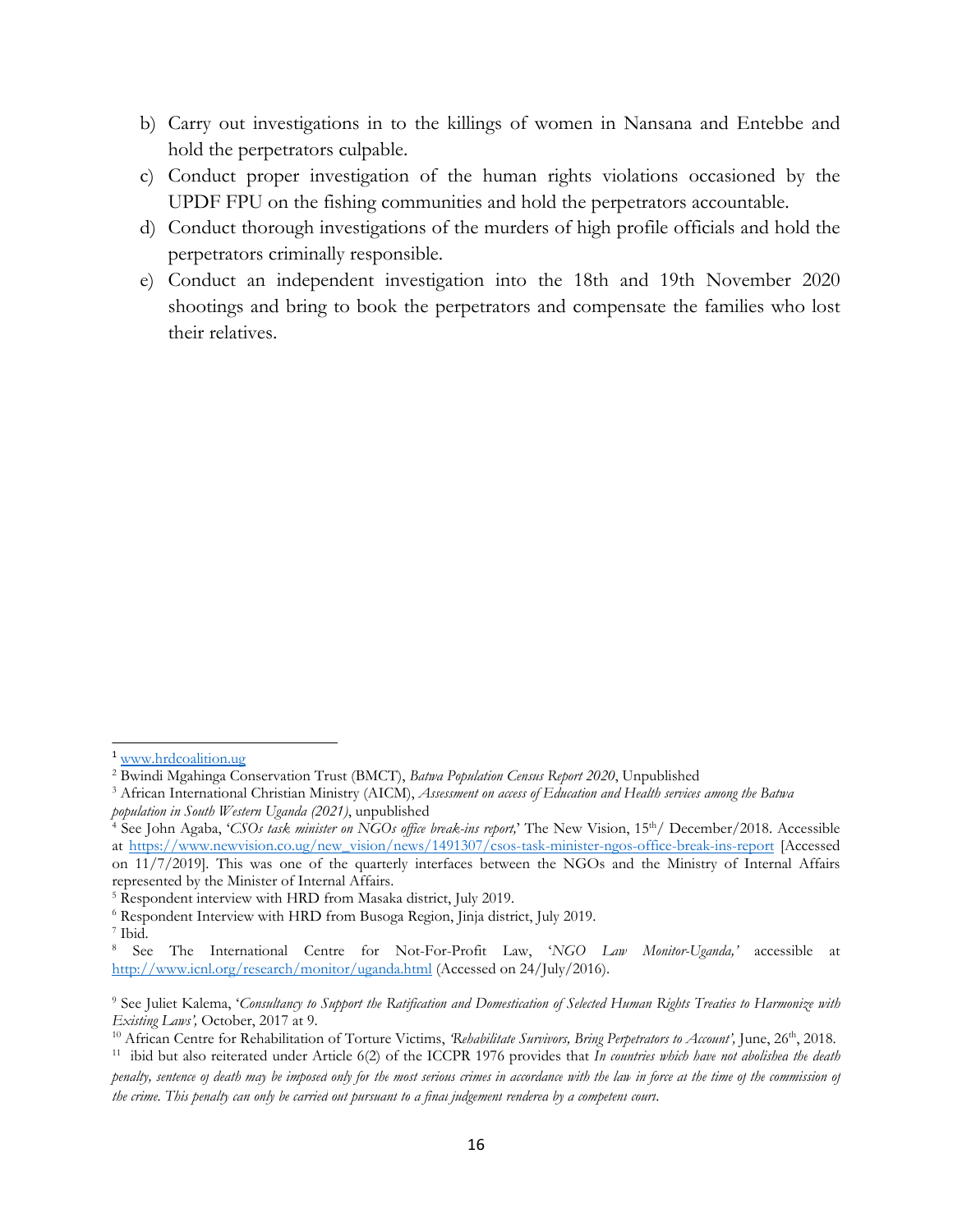- b) Carry out investigations in to the killings of women in Nansana and Entebbe and hold the perpetrators culpable.
- c) Conduct proper investigation of the human rights violations occasioned by the UPDF FPU on the fishing communities and hold the perpetrators accountable.
- d) Conduct thorough investigations of the murders of high profile officials and hold the perpetrators criminally responsible.
- e) Conduct an independent investigation into the 18th and 19th November 2020 shootings and bring to book the perpetrators and compensate the families who lost their relatives.

<sup>&</sup>lt;sup>1</sup> [www.hrdcoalition.ug](http://www.hrdcoalition.ug)

<sup>2</sup>Bwindi Mgahinga Conservation Trust (BMCT), *Batwa Population Census Report 2020*, Unpublished

<sup>3</sup> African International Christian Ministry (AICM), *Assessment on access of Education and Health services among the Batwa population in South Western Uganda (2021)*, unpublished

<sup>4</sup> See John Agaba, '*CSOs task minister on NGOs office break-ins report,*' The New Vision, <sup>15</sup>th / December/2018. Accessible at [https://www.newvision.co.ug/new\\_vision/news/1491307/csos-task-minister-ngos-office-break-ins-report](https://www.newvision.co.ug/new_vision/news/1491307/csos-task-minister-ngos-office-break-ins-report) [Accessed on 11/7/2019]. This was one of the quarterly interfaces between the NGOs and the Ministry of Internal Affairs represented by the Minister of Internal Affairs.

<sup>5</sup> Respondent interview with HRD from Masaka district, July 2019.

<sup>6</sup> Respondent Interview with HRD from Busoga Region, Jinja district, July 2019.

<sup>7</sup> Ibid.

<sup>8</sup> See The International Centre for Not-For-Profit Law, '*NGO Law Monitor-Uganda,'* accessible at <http://www.icnl.org/research/monitor/uganda.html> (Accessed on 24/July/2016).

<sup>&</sup>lt;sup>9</sup> See Juliet Kalema, 'Consultancy to Support the Ratification and Domestication of Selected Human Rights Treaties to Harmonize with *Existing Laws',* October, 2017 at 9.

<sup>10</sup> African Centre for Rehabilitation of Torture Victims, *'Rehabilitate Survivors, Bring Perpetrators to Account',* June, <sup>26</sup>th , 2018.

<sup>11</sup> ibid but also reiterated under Article 6(2) of the ICCPR 1976 provides that *In countries which have not abolished the death* penalty, sentence of death may be imposea only for the most serious crimes in accordance with the lan in force at the time of the commission of

the crime. This penalty can only be carried out pursuant to a final judgement rendered by a competent court.